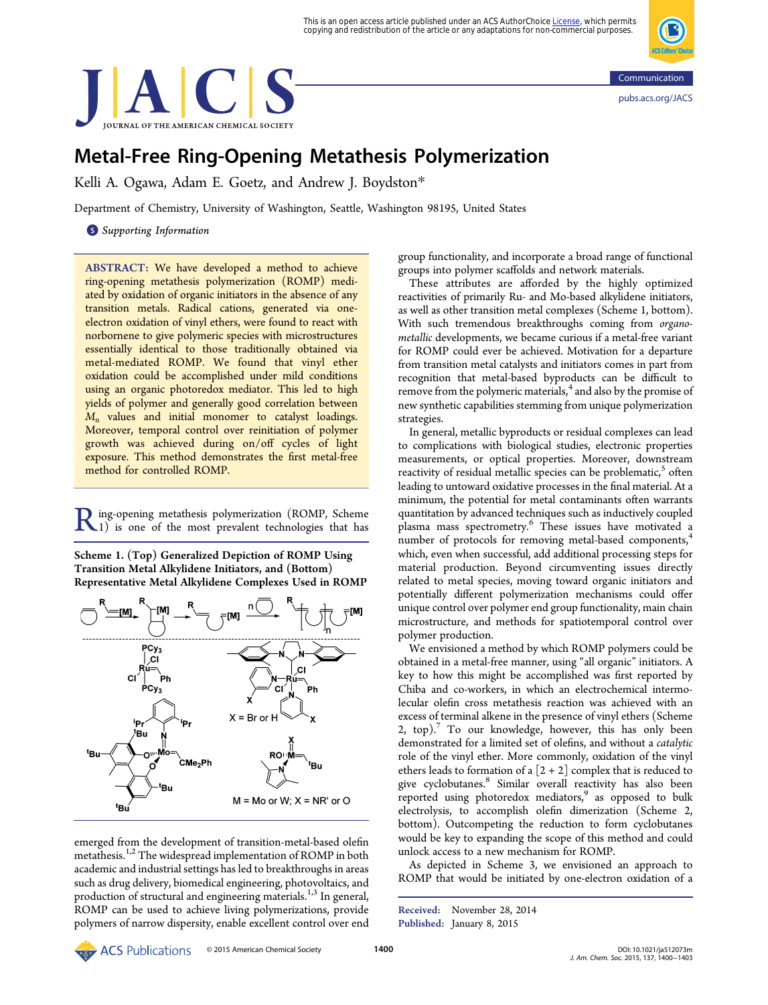This is an open access article published under an ACS AuthorChoice <u>License</u>, which permits<br>copying and redistribution of the article or any adaptations for non-commercial purposes.

<span id="page-0-0"></span>



# Metal-Free Ring-Opening Metathesis Polymerization

Kelli A. Ogawa, Adam E. Goetz, and Andrew J. Boydston[\\*](#page-3-0)

Department of Chemistry, University of Washington, Seattle, Washington 98195, United States

**S** [Supporting Information](#page-3-0)

ABSTRACT: We have developed a method to achieve ring-opening metathesis polymerization (ROMP) mediated by oxidation of organic initiators in the absence of any transition metals. Radical cations, generated via oneelectron oxidation of vinyl ethers, were found to react with norbornene to give polymeric species with microstructures essentially identical to those traditionally obtained via metal-mediated ROMP. We found that vinyl ether oxidation could be accomplished under mild conditions using an organic photoredox mediator. This led to high yields of polymer and generally good correlation between  $M_n$  values and initial monomer to catalyst loadings. Moreover, temporal control over reinitiation of polymer growth was achieved during on/off cycles of light exposure. This method demonstrates the first metal-free method for controlled ROMP.

Ring-opening metathesis polymerization (ROMP, Scheme 1) is one of the most prevalent technologies that has

Scheme 1. (Top) Generalized Depiction of ROMP Using Transition Metal Alkylidene Initiators, and (Bottom) Representative Metal Alkylidene Complexes Used in ROMP



emerged from the development of transition-metal-based olefin metathesis.<sup>[1,2](#page-3-0)</sup> The widespread implementation of ROMP in both academic and industrial settings has led to breakthroughs in areas such as drug delivery, biomedical engineering, photovoltaics, and production of structural and engineering materials.<sup>[1,3](#page-3-0)</sup> In general, ROMP can be used to achieve living polymerizations, provide polymers of narrow dispersity, enable excellent control over end

group functionality, and incorporate a broad range of functional groups into polymer scaffolds and network materials.

These attributes are afforded by the highly optimized reactivities of primarily Ru- and Mo-based alkylidene initiators, as well as other transition metal complexes (Scheme 1, bottom). With such tremendous breakthroughs coming from organometallic developments, we became curious if a metal-free variant for ROMP could ever be achieved. Motivation for a departure from transition metal catalysts and initiators comes in part from recognition that metal-based byproducts can be difficult to remove from the polymeric materials,<sup>[4](#page-3-0)</sup> and also by the promise of new synthetic capabilities stemming from unique polymerization strategies.

In general, metallic byproducts or residual complexes can lead to complications with biological studies, electronic properties measurements, or optical properties. Moreover, downstream reactivity of residual metallic species can be problematic, $5$  often leading to untoward oxidative processes in the final material. At a minimum, the potential for metal contaminants often warrants quantitation by advanced techniques such as inductively coupled plasma mass spectrometry.<sup>[6](#page-3-0)</sup> These issues have motivated a number of protocols for removing metal-based components,<sup>[4](#page-3-0)</sup> which, even when successful, add additional processing steps for material production. Beyond circumventing issues directly related to metal species, moving toward organic initiators and potentially different polymerization mechanisms could offer unique control over polymer end group functionality, main chain microstructure, and methods for spatiotemporal control over polymer production.

We envisioned a method by which ROMP polymers could be obtained in a metal-free manner, using "all organic" initiators. A key to how this might be accomplished was first reported by Chiba and co-workers, in which an electrochemical intermolecular olefin cross metathesis reaction was achieved with an excess of terminal alkene in the presence of vinyl ethers (Scheme [2](#page-1-0), top).<sup>[7](#page-3-0)</sup> To our knowledge, however, this has only been demonstrated for a limited set of olefins, and without a catalytic role of the vinyl ether. More commonly, oxidation of the vinyl ethers leads to formation of a  $[2 + 2]$  complex that is reduced to give cyclobutanes.<sup>[8](#page-3-0)</sup> Similar overall reactivity has also been reported using photoredox mediators,<sup>[9](#page-3-0)</sup> as opposed to bulk electrolysis, to accomplish olefin dimerization (Scheme [2](#page-1-0), bottom). Outcompeting the reduction to form cyclobutanes would be key to expanding the scope of this method and could unlock access to a new mechanism for ROMP.

As depicted in Scheme [3,](#page-1-0) we envisioned an approach to ROMP that would be initiated by one-electron oxidation of a

© 2015 ACS Publications © 2015 American Chemical Society 1900 1900 1910 [DOI: 10.1021/ja512073m](http://dx.doi.org/10.1021/ja512073m)

Received: November 28, 2014 Published: January 8, 2015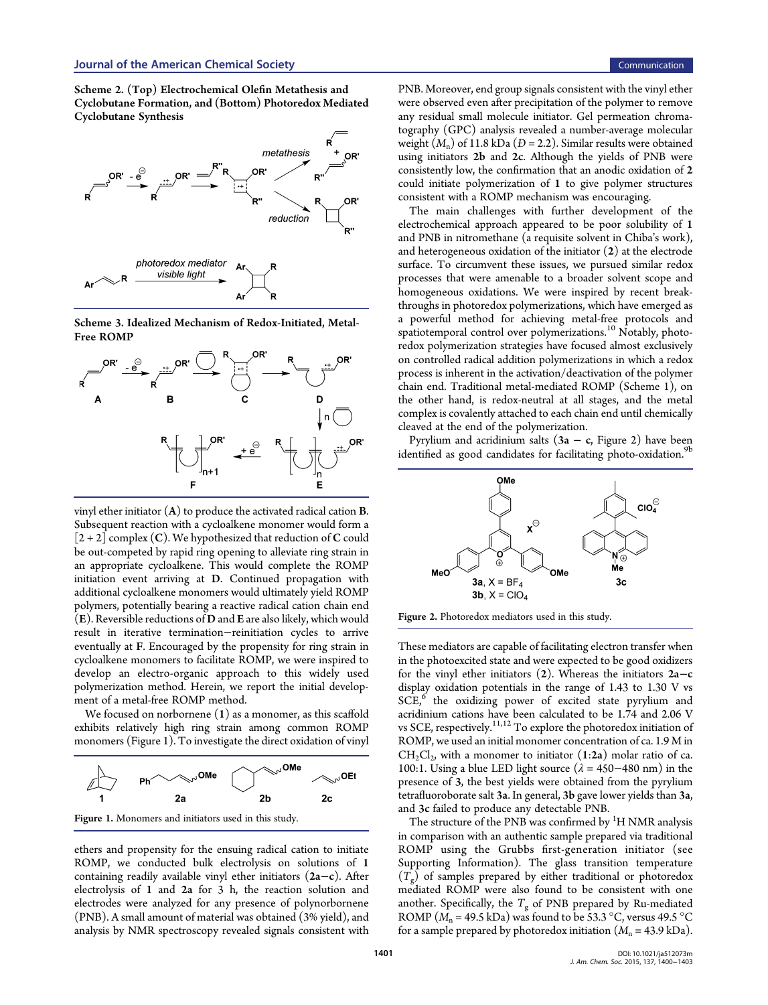<span id="page-1-0"></span>Scheme 2. (Top) Electrochemical Olefin Metathesis and Cyclobutane Formation, and (Bottom) Photoredox Mediated Cyclobutane Synthesis



Scheme 3. Idealized Mechanism of Redox-Initiated, Metal-Free ROMP



vinyl ether initiator  $(A)$  to produce the activated radical cation **B**. Subsequent reaction with a cycloalkene monomer would form a  $[2+2]$  complex (C). We hypothesized that reduction of C could be out-competed by rapid ring opening to alleviate ring strain in an appropriate cycloalkene. This would complete the ROMP initiation event arriving at D. Continued propagation with additional cycloalkene monomers would ultimately yield ROMP polymers, potentially bearing a reactive radical cation chain end (E). Reversible reductions of D and E are also likely, which would result in iterative termination−reinitiation cycles to arrive eventually at F. Encouraged by the propensity for ring strain in cycloalkene monomers to facilitate ROMP, we were inspired to develop an electro-organic approach to this widely used polymerization method. Herein, we report the initial development of a metal-free ROMP method.

We focused on norbornene (1) as a monomer, as this scaffold exhibits relatively high ring strain among common ROMP monomers (Figure 1). To investigate the direct oxidation of vinyl



ethers and propensity for the ensuing radical cation to initiate ROMP, we conducted bulk electrolysis on solutions of 1 containing readily available vinyl ether initiators (2a−c). After electrolysis of 1 and 2a for 3 h, the reaction solution and electrodes were analyzed for any presence of polynorbornene (PNB). A small amount of material was obtained (3% yield), and analysis by NMR spectroscopy revealed signals consistent with PNB. Moreover, end group signals consistent with the vinyl ether were observed even after precipitation of the polymer to remove any residual small molecule initiator. Gel permeation chromatography (GPC) analysis revealed a number-average molecular weight  $(M_n)$  of 11.8 kDa ( $D = 2.2$ ). Similar results were obtained using initiators 2b and 2c. Although the yields of PNB were consistently low, the confirmation that an anodic oxidation of 2 could initiate polymerization of 1 to give polymer structures consistent with a ROMP mechanism was encouraging.

The main challenges with further development of the electrochemical approach appeared to be poor solubility of 1 and PNB in nitromethane (a requisite solvent in Chiba's work), and heterogeneous oxidation of the initiator (2) at the electrode surface. To circumvent these issues, we pursued similar redox processes that were amenable to a broader solvent scope and homogeneous oxidations. We were inspired by recent breakthroughs in photoredox polymerizations, which have emerged as a powerful method for achieving metal-free protocols and spatiotemporal control over polymerizations.<sup>[10](#page-3-0)</sup> Notably, photoredox polymerization strategies have focused almost exclusively on controlled radical addition polymerizations in which a redox process is inherent in the activation/deactivation of the polymer chain end. Traditional metal-mediated ROMP (Scheme [1](#page-0-0)), on the other hand, is redox-neutral at all stages, and the metal complex is covalently attached to each chain end until chemically cleaved at the end of the polymerization.

Pyrylium and acridinium salts (3a – c, Figure 2) have been identified as good candidates for facilitating photo-oxidation.<sup>[9b](#page-3-0)</sup>



Figure 2. Photoredox mediators used in this study.

These mediators are capable of facilitating electron transfer when in the photoexcited state and were expected to be good oxidizers for the vinyl ether initiators  $(2)$ . Whereas the initiators 2a–c display oxidation potentials in the range of 1.43 to 1.30 V vs SCE,<sup>[6](#page-3-0)</sup> the oxidizing power of excited state pyrylium and acridinium cations have been calculated to be 1.74 and 2.06 V vs SCE, respectively.<sup>[11,12](#page-3-0)</sup> To explore the photoredox initiation of ROMP, we used an initial monomer concentration of ca. 1.9 M in  $CH_2Cl_2$ , with a monomer to initiator  $(1:2a)$  molar ratio of ca. 100:1. Using a blue LED light source ( $\lambda = 450 - 480$  nm) in the presence of 3, the best yields were obtained from the pyrylium tetrafluoroborate salt 3a. In general, 3b gave lower yields than 3a, and 3c failed to produce any detectable PNB.

The structure of the PNB was confirmed by  ${}^{1}H$  NMR analysis in comparison with an authentic sample prepared via traditional ROMP using the Grubbs first-generation initiator (see [Supporting Information\)](#page-3-0). The glass transition temperature  $(T<sub>g</sub>)$  of samples prepared by either traditional or photoredox mediated ROMP were also found to be consistent with one another. Specifically, the  $T_g$  of PNB prepared by Ru-mediated ROMP ( $M_n = 49.5$  kDa) was found to be 53.3 °C, versus 49.5 °C for a sample prepared by photoredox initiation  $(M_n = 43.9 \text{ kDa})$ .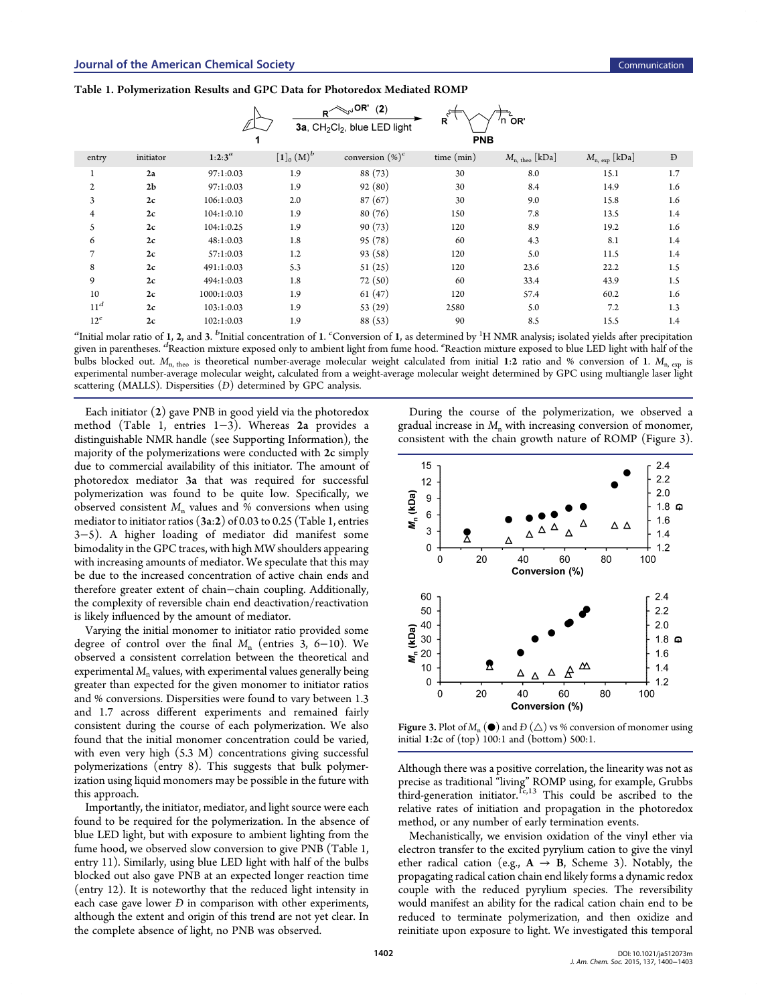|  |  | Table 1. Polymerization Results and GPC Data for Photoredox Mediated ROMP |  |  |  |  |  |
|--|--|---------------------------------------------------------------------------|--|--|--|--|--|
|--|--|---------------------------------------------------------------------------|--|--|--|--|--|

|                 |                |             | R <sup>2</sup> | $\mathbb{R}^3$ OR'<br>(2)<br>$3a$ , CH <sub>2</sub> Cl <sub>2</sub> , blue LED light | $R^{\zeta^{\rightrightarrows}}$<br>PNB | 'n or                   |                        |     |
|-----------------|----------------|-------------|----------------|--------------------------------------------------------------------------------------|----------------------------------------|-------------------------|------------------------|-----|
| entry           | initiator      | $1:2:3^a$   | $[1]_0(M)^b$   | conversion $(\%)^c$                                                                  | time (min)                             | $M_{\rm n,~theo}$ [kDa] | $M_{\rm n, exp}$ [kDa] | Đ   |
|                 | 2a             | 97:1:0.03   | 1.9            | 88 (73)                                                                              | 30                                     | 8.0                     | 15.1                   | 1.7 |
| $\mathfrak{p}$  | 2 <sub>b</sub> | 97:1:0.03   | 1.9            | 92(80)                                                                               | 30                                     | 8.4                     | 14.9                   | 1.6 |
| 3               | 2c             | 106:1:0.03  | 2.0            | 87(67)                                                                               | 30                                     | 9.0                     | 15.8                   | 1.6 |
| $\overline{4}$  | 2c             | 104:1:0.10  | 1.9            | 80(76)                                                                               | 150                                    | 7.8                     | 13.5                   | 1.4 |
| 5               | 2c             | 104:1:0.25  | 1.9            | 90(73)                                                                               | 120                                    | 8.9                     | 19.2                   | 1.6 |
| 6               | 2c             | 48:1:0.03   | 1.8            | 95(78)                                                                               | 60                                     | 4.3                     | 8.1                    | 1.4 |
| 7               | 2c             | 57:1:0.03   | 1.2            | 93(58)                                                                               | 120                                    | 5.0                     | 11.5                   | 1.4 |
| 8               | 2c             | 491:1:0.03  | 5.3            | 51(25)                                                                               | 120                                    | 23.6                    | 22.2                   | 1.5 |
| 9               | 2c             | 494:1:0.03  | 1.8            | 72(50)                                                                               | 60                                     | 33.4                    | 43.9                   | 1.5 |
| 10              | 2c             | 1000:1:0.03 | 1.9            | 61(47)                                                                               | 120                                    | 57.4                    | 60.2                   | 1.6 |
| 11 <sup>d</sup> | 2c             | 103:1:0.03  | 1.9            | 53(29)                                                                               | 2580                                   | 5.0                     | 7.2                    | 1.3 |
| $12^e$          | 2c             | 102:1:0.03  | 1.9            | 88 (53)                                                                              | 90                                     | 8.5                     | 15.5                   | 1.4 |

 ${}^a$ Initial molar ratio of 1, 2, and 3.  ${}^b$ Initial concentration of 1.  ${}^c$ Conversion of 1, as determined by  ${}^1{\rm H}$  NMR analysis; isolated yields after precipitation given in parentheses. <sup>d</sup> Reaction mixture exposed only to ambient light from fume hood. <sup>e</sup> Reaction mixture exposed to blue LED light with half of the bulbs blocked out.  $M_{\text{n, theo}}$  is theoretical number-average molecular weight calculated from initial 1:2 ratio and % conversion of 1.  $M_{\text{n, exo}}$  is experimental number-average molecular weight, calculated from a weight-average molecular weight determined by GPC using multiangle laser light scattering (MALLS). Dispersities (Đ) determined by GPC analysis.

Each initiator (2) gave PNB in good yield via the photoredox method (Table 1, entries 1−3). Whereas 2a provides a distinguishable NMR handle (see [Supporting Information\)](#page-3-0), the majority of the polymerizations were conducted with 2c simply due to commercial availability of this initiator. The amount of photoredox mediator 3a that was required for successful polymerization was found to be quite low. Specifically, we observed consistent  $M_n$  values and % conversions when using mediator to initiator ratios (3a:2) of 0.03 to 0.25 (Table 1, entries 3−5). A higher loading of mediator did manifest some bimodality in the GPC traces, with high MW shoulders appearing with increasing amounts of mediator. We speculate that this may be due to the increased concentration of active chain ends and therefore greater extent of chain−chain coupling. Additionally, the complexity of reversible chain end deactivation/reactivation is likely influenced by the amount of mediator.

Varying the initial monomer to initiator ratio provided some degree of control over the final  $M_n$  (entries 3, 6–10). We observed a consistent correlation between the theoretical and experimental  $M<sub>n</sub>$  values, with experimental values generally being greater than expected for the given monomer to initiator ratios and % conversions. Dispersities were found to vary between 1.3 and 1.7 across different experiments and remained fairly consistent during the course of each polymerization. We also found that the initial monomer concentration could be varied, with even very high (5.3 M) concentrations giving successful polymerizations (entry 8). This suggests that bulk polymerization using liquid monomers may be possible in the future with this approach.

Importantly, the initiator, mediator, and light source were each found to be required for the polymerization. In the absence of blue LED light, but with exposure to ambient lighting from the fume hood, we observed slow conversion to give PNB (Table 1, entry 11). Similarly, using blue LED light with half of the bulbs blocked out also gave PNB at an expected longer reaction time (entry 12). It is noteworthy that the reduced light intensity in each case gave lower *Đ* in comparison with other experiments, although the extent and origin of this trend are not yet clear. In the complete absence of light, no PNB was observed.

During the course of the polymerization, we observed a gradual increase in  $M<sub>n</sub>$  with increasing conversion of monomer, consistent with the chain growth nature of ROMP (Figure 3).



Figure 3. Plot of  $M_n$  ( $\bullet$ ) and  $D(\triangle)$  vs % conversion of monomer using initial 1:2c of (top) 100:1 and (bottom) 500:1.

Although there was a positive correlation, the linearity was not as precise as traditional "living" ROMP using, for example, Grubbs third-generation initiator.<sup>[1c,13](#page-3-0)</sup> This could be ascribed to the relative rates of initiation and propagation in the photoredox method, or any number of early termination events.

Mechanistically, we envision oxidation of the vinyl ether via electron transfer to the excited pyrylium cation to give the vinyl ether radical cation (e.g.,  $A \rightarrow B$ , Scheme [3\)](#page-1-0). Notably, the propagating radical cation chain end likely forms a dynamic redox couple with the reduced pyrylium species. The reversibility would manifest an ability for the radical cation chain end to be reduced to terminate polymerization, and then oxidize and reinitiate upon exposure to light. We investigated this temporal